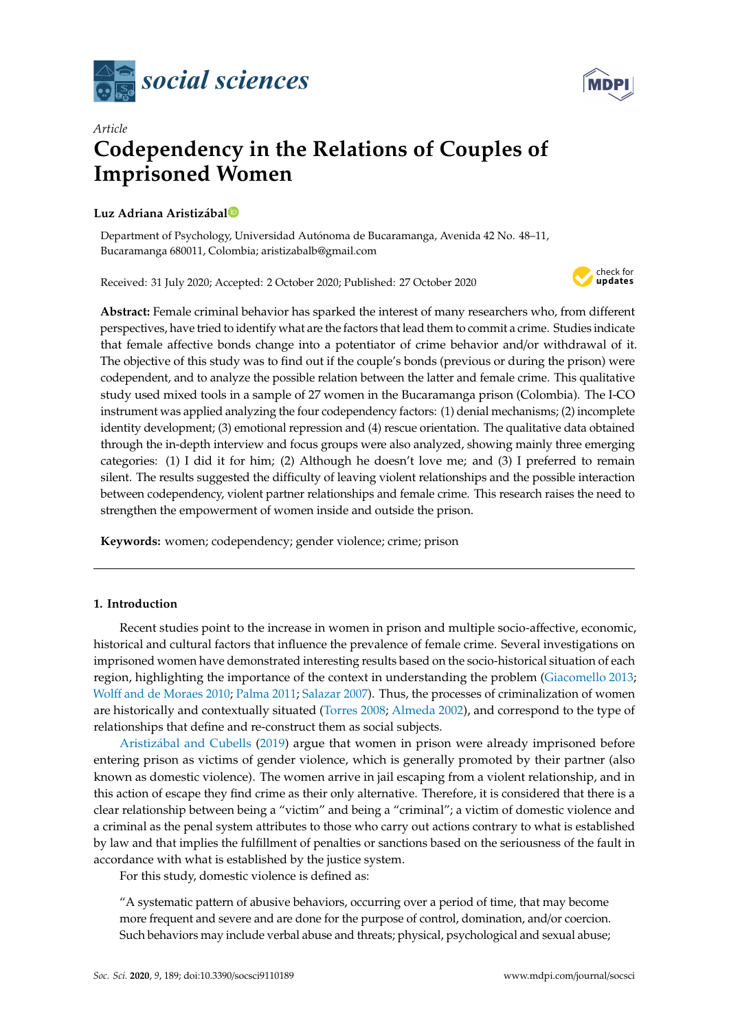



# *Article* **Codependency in the Relations of Couples of Imprisoned Women**

# **Luz Adriana Aristizába[l](https://orcid.org/0000-0002-3620-6276)**

Department of Psychology, Universidad Autónoma de Bucaramanga, Avenida 42 No. 48–11, Bucaramanga 680011, Colombia; aristizabalb@gmail.com

Received: 31 July 2020; Accepted: 2 October 2020; Published: 27 October 2020



**Abstract:** Female criminal behavior has sparked the interest of many researchers who, from different perspectives, have tried to identify what are the factors that lead them to commit a crime. Studies indicate that female affective bonds change into a potentiator of crime behavior and/or withdrawal of it. The objective of this study was to find out if the couple's bonds (previous or during the prison) were codependent, and to analyze the possible relation between the latter and female crime. This qualitative study used mixed tools in a sample of 27 women in the Bucaramanga prison (Colombia). The I-CO instrument was applied analyzing the four codependency factors: (1) denial mechanisms; (2) incomplete identity development; (3) emotional repression and (4) rescue orientation. The qualitative data obtained through the in-depth interview and focus groups were also analyzed, showing mainly three emerging categories: (1) I did it for him; (2) Although he doesn't love me; and (3) I preferred to remain silent. The results suggested the difficulty of leaving violent relationships and the possible interaction between codependency, violent partner relationships and female crime. This research raises the need to strengthen the empowerment of women inside and outside the prison.

**Keywords:** women; codependency; gender violence; crime; prison

# **1. Introduction**

Recent studies point to the increase in women in prison and multiple socio-affective, economic, historical and cultural factors that influence the prevalence of female crime. Several investigations on imprisoned women have demonstrated interesting results based on the socio-historical situation of each region, highlighting the importance of the context in understanding the problem [\(Giacomello](#page-9-0) [2013;](#page-9-0) Wolff [and de Moraes](#page-10-0) [2010;](#page-10-0) [Palma](#page-10-1) [2011;](#page-10-1) [Salazar](#page-10-2) [2007\)](#page-10-2). Thus, the processes of criminalization of women are historically and contextually situated [\(Torres](#page-10-3) [2008;](#page-10-3) [Almeda](#page-9-1) [2002\)](#page-9-1), and correspond to the type of relationships that define and re-construct them as social subjects.

Aristizá[bal and Cubells](#page-9-2) [\(2019\)](#page-9-2) argue that women in prison were already imprisoned before entering prison as victims of gender violence, which is generally promoted by their partner (also known as domestic violence). The women arrive in jail escaping from a violent relationship, and in this action of escape they find crime as their only alternative. Therefore, it is considered that there is a clear relationship between being a "victim" and being a "criminal"; a victim of domestic violence and a criminal as the penal system attributes to those who carry out actions contrary to what is established by law and that implies the fulfillment of penalties or sanctions based on the seriousness of the fault in accordance with what is established by the justice system.

For this study, domestic violence is defined as:

"A systematic pattern of abusive behaviors, occurring over a period of time, that may become more frequent and severe and are done for the purpose of control, domination, and/or coercion. Such behaviors may include verbal abuse and threats; physical, psychological and sexual abuse;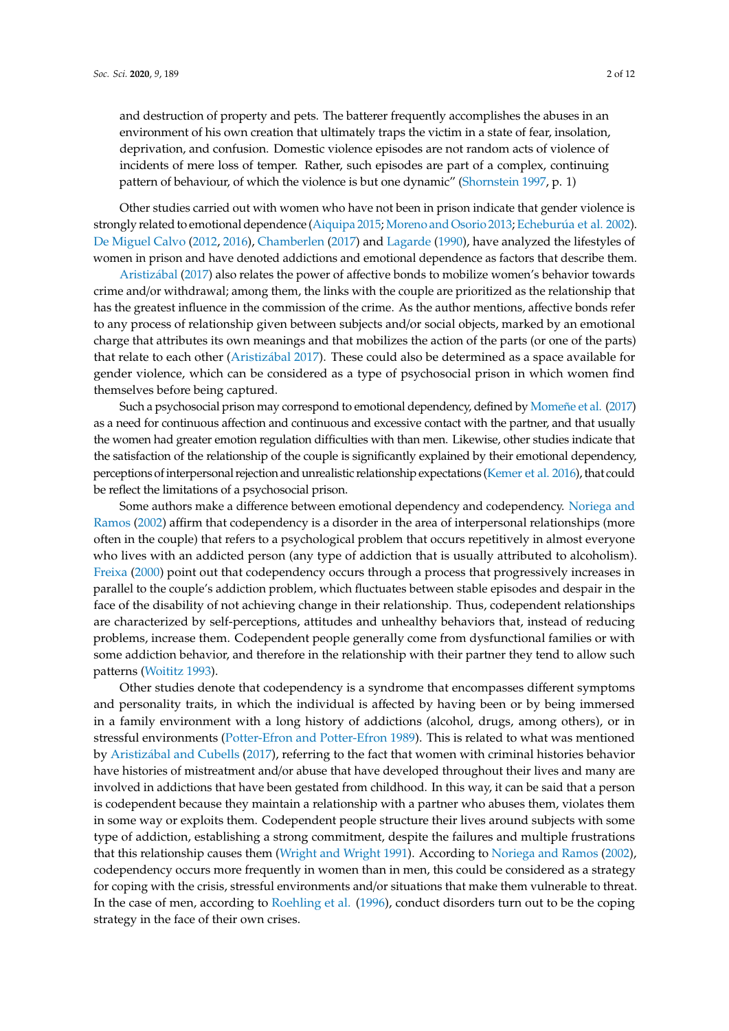and destruction of property and pets. The batterer frequently accomplishes the abuses in an environment of his own creation that ultimately traps the victim in a state of fear, insolation, deprivation, and confusion. Domestic violence episodes are not random acts of violence of incidents of mere loss of temper. Rather, such episodes are part of a complex, continuing pattern of behaviour, of which the violence is but one dynamic" [\(Shornstein](#page-10-4) [1997,](#page-10-4) p. 1)

Other studies carried out with women who have not been in prison indicate that gender violence is strongly related to emotional dependence [\(Aiquipa](#page-9-3) [2015;](#page-9-3) [Moreno and Osorio](#page-10-5) [2013;](#page-10-5) [Echebur](#page-9-4)úa et al. [2002\)](#page-9-4). [De Miguel Calvo](#page-9-5) [\(2012,](#page-9-5) [2016\)](#page-9-6), [Chamberlen](#page-9-7) [\(2017\)](#page-9-7) and [Lagarde](#page-10-6) [\(1990\)](#page-10-6), have analyzed the lifestyles of women in prison and have denoted addictions and emotional dependence as factors that describe them.

[Aristiz](#page-9-8)ábal [\(2017\)](#page-9-8) also relates the power of affective bonds to mobilize women's behavior towards crime and/or withdrawal; among them, the links with the couple are prioritized as the relationship that has the greatest influence in the commission of the crime. As the author mentions, affective bonds refer to any process of relationship given between subjects and/or social objects, marked by an emotional charge that attributes its own meanings and that mobilizes the action of the parts (or one of the parts) that relate to each other [\(Aristiz](#page-9-8)ábal [2017\)](#page-9-8). These could also be determined as a space available for gender violence, which can be considered as a type of psychosocial prison in which women find themselves before being captured.

Such a psychosocial prison may correspond to emotional dependency, defined by [Momeñe et al.](#page-10-7) [\(2017\)](#page-10-7) as a need for continuous affection and continuous and excessive contact with the partner, and that usually the women had greater emotion regulation difficulties with than men. Likewise, other studies indicate that the satisfaction of the relationship of the couple is significantly explained by their emotional dependency, perceptions ofinterpersonal rejection and unrealistic relationship expectations [\(Kemer et al.](#page-9-9) [2016\)](#page-9-9), that could be reflect the limitations of a psychosocial prison.

Some authors make a difference between emotional dependency and codependency. [Noriega and](#page-10-8) [Ramos](#page-10-8) [\(2002\)](#page-10-8) affirm that codependency is a disorder in the area of interpersonal relationships (more often in the couple) that refers to a psychological problem that occurs repetitively in almost everyone who lives with an addicted person (any type of addiction that is usually attributed to alcoholism). [Freixa](#page-9-10) [\(2000\)](#page-9-10) point out that codependency occurs through a process that progressively increases in parallel to the couple's addiction problem, which fluctuates between stable episodes and despair in the face of the disability of not achieving change in their relationship. Thus, codependent relationships are characterized by self-perceptions, attitudes and unhealthy behaviors that, instead of reducing problems, increase them. Codependent people generally come from dysfunctional families or with some addiction behavior, and therefore in the relationship with their partner they tend to allow such patterns [\(Woititz](#page-10-9) [1993\)](#page-10-9).

Other studies denote that codependency is a syndrome that encompasses different symptoms and personality traits, in which the individual is affected by having been or by being immersed in a family environment with a long history of addictions (alcohol, drugs, among others), or in stressful environments [\(Potter-Efron and Potter-Efron](#page-10-10) [1989\)](#page-10-10). This is related to what was mentioned by Aristizá[bal and Cubells](#page-9-11) [\(2017\)](#page-9-11), referring to the fact that women with criminal histories behavior have histories of mistreatment and/or abuse that have developed throughout their lives and many are involved in addictions that have been gestated from childhood. In this way, it can be said that a person is codependent because they maintain a relationship with a partner who abuses them, violates them in some way or exploits them. Codependent people structure their lives around subjects with some type of addiction, establishing a strong commitment, despite the failures and multiple frustrations that this relationship causes them [\(Wright and Wright](#page-11-0) [1991\)](#page-11-0). According to [Noriega and Ramos](#page-10-8) [\(2002\)](#page-10-8), codependency occurs more frequently in women than in men, this could be considered as a strategy for coping with the crisis, stressful environments and/or situations that make them vulnerable to threat. In the case of men, according to [Roehling et al.](#page-10-11) [\(1996\)](#page-10-11), conduct disorders turn out to be the coping strategy in the face of their own crises.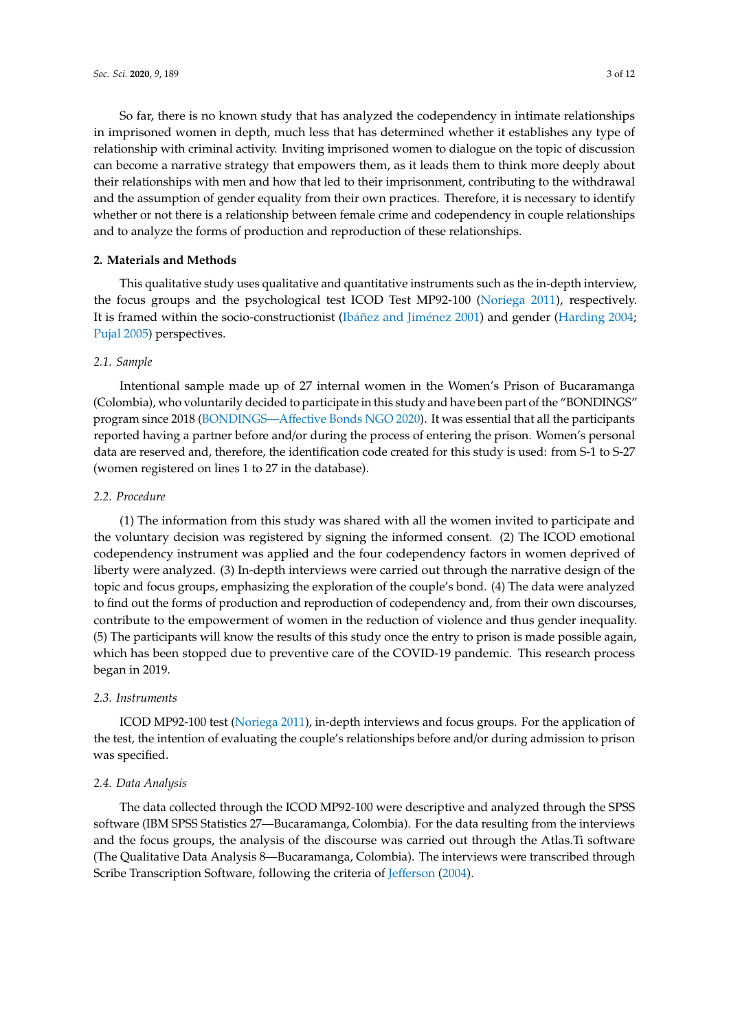So far, there is no known study that has analyzed the codependency in intimate relationships in imprisoned women in depth, much less that has determined whether it establishes any type of relationship with criminal activity. Inviting imprisoned women to dialogue on the topic of discussion can become a narrative strategy that empowers them, as it leads them to think more deeply about their relationships with men and how that led to their imprisonment, contributing to the withdrawal and the assumption of gender equality from their own practices. Therefore, it is necessary to identify whether or not there is a relationship between female crime and codependency in couple relationships and to analyze the forms of production and reproduction of these relationships.

# **2. Materials and Methods**

This qualitative study uses qualitative and quantitative instruments such as the in-depth interview, the focus groups and the psychological test ICOD Test MP92-100 [\(Noriega](#page-10-12) [2011\)](#page-10-12), respectively. It is framed within the socio-constructionist (Ibá[ñez and Jim](#page-9-12)énez [2001\)](#page-9-12) and gender [\(Harding](#page-9-13) [2004;](#page-9-13) [Pujal](#page-10-13) [2005\)](#page-10-13) perspectives.

# *2.1. Sample*

Intentional sample made up of 27 internal women in the Women's Prison of Bucaramanga (Colombia), who voluntarily decided to participate in this study and have been part of the "BONDINGS" program since 2018 (BONDINGS—Aff[ective Bonds NGO](#page-9-14) [2020\)](#page-9-14). It was essential that all the participants reported having a partner before and/or during the process of entering the prison. Women's personal data are reserved and, therefore, the identification code created for this study is used: from S-1 to S-27 (women registered on lines 1 to 27 in the database).

# *2.2. Procedure*

(1) The information from this study was shared with all the women invited to participate and the voluntary decision was registered by signing the informed consent. (2) The ICOD emotional codependency instrument was applied and the four codependency factors in women deprived of liberty were analyzed. (3) In-depth interviews were carried out through the narrative design of the topic and focus groups, emphasizing the exploration of the couple's bond. (4) The data were analyzed to find out the forms of production and reproduction of codependency and, from their own discourses, contribute to the empowerment of women in the reduction of violence and thus gender inequality. (5) The participants will know the results of this study once the entry to prison is made possible again, which has been stopped due to preventive care of the COVID-19 pandemic. This research process began in 2019.

## *2.3. Instruments*

ICOD MP92-100 test [\(Noriega](#page-10-12) [2011\)](#page-10-12), in-depth interviews and focus groups. For the application of the test, the intention of evaluating the couple's relationships before and/or during admission to prison was specified.

## *2.4. Data Analysis*

The data collected through the ICOD MP92-100 were descriptive and analyzed through the SPSS software (IBM SPSS Statistics 27—Bucaramanga, Colombia). For the data resulting from the interviews and the focus groups, the analysis of the discourse was carried out through the Atlas.Ti software (The Qualitative Data Analysis 8—Bucaramanga, Colombia). The interviews were transcribed through Scribe Transcription Software, following the criteria of Jeff[erson](#page-9-15) [\(2004\)](#page-9-15).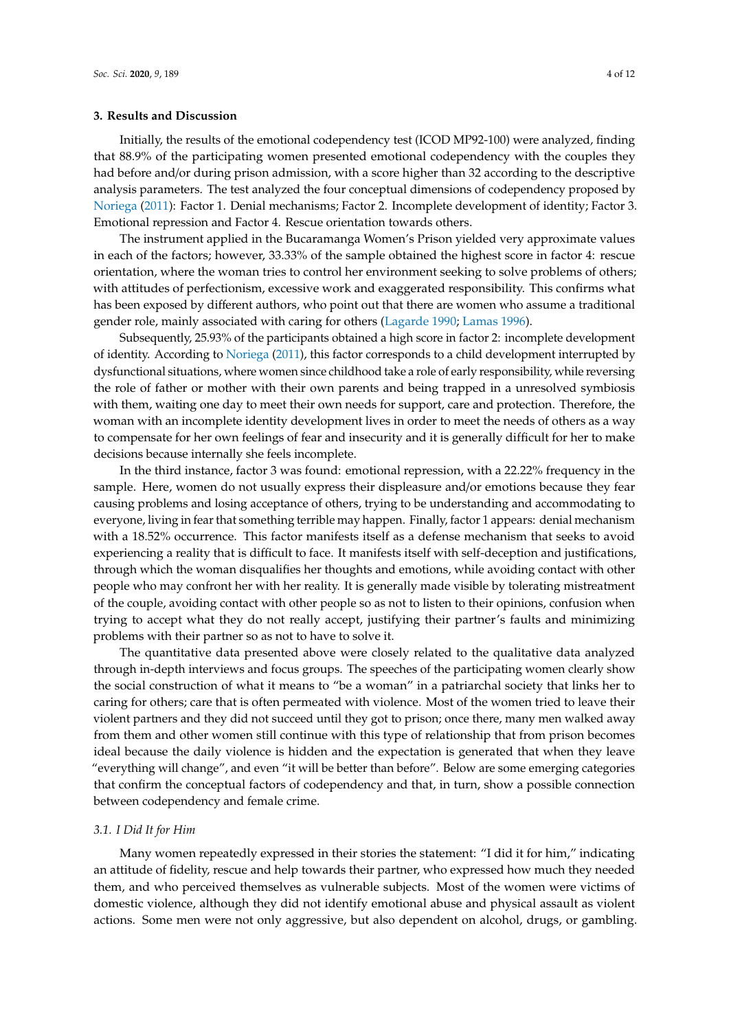## **3. Results and Discussion**

Initially, the results of the emotional codependency test (ICOD MP92-100) were analyzed, finding that 88.9% of the participating women presented emotional codependency with the couples they had before and/or during prison admission, with a score higher than 32 according to the descriptive analysis parameters. The test analyzed the four conceptual dimensions of codependency proposed by [Noriega](#page-10-12) [\(2011\)](#page-10-12): Factor 1. Denial mechanisms; Factor 2. Incomplete development of identity; Factor 3. Emotional repression and Factor 4. Rescue orientation towards others.

The instrument applied in the Bucaramanga Women's Prison yielded very approximate values in each of the factors; however, 33.33% of the sample obtained the highest score in factor 4: rescue orientation, where the woman tries to control her environment seeking to solve problems of others; with attitudes of perfectionism, excessive work and exaggerated responsibility. This confirms what has been exposed by different authors, who point out that there are women who assume a traditional gender role, mainly associated with caring for others [\(Lagarde](#page-10-6) [1990;](#page-10-6) [Lamas](#page-10-14) [1996\)](#page-10-14).

Subsequently, 25.93% of the participants obtained a high score in factor 2: incomplete development of identity. According to [Noriega](#page-10-12) [\(2011\)](#page-10-12), this factor corresponds to a child development interrupted by dysfunctional situations, where women since childhood take a role of early responsibility, while reversing the role of father or mother with their own parents and being trapped in a unresolved symbiosis with them, waiting one day to meet their own needs for support, care and protection. Therefore, the woman with an incomplete identity development lives in order to meet the needs of others as a way to compensate for her own feelings of fear and insecurity and it is generally difficult for her to make decisions because internally she feels incomplete.

In the third instance, factor 3 was found: emotional repression, with a 22.22% frequency in the sample. Here, women do not usually express their displeasure and/or emotions because they fear causing problems and losing acceptance of others, trying to be understanding and accommodating to everyone, living in fear that something terrible may happen. Finally, factor 1 appears: denial mechanism with a 18.52% occurrence. This factor manifests itself as a defense mechanism that seeks to avoid experiencing a reality that is difficult to face. It manifests itself with self-deception and justifications, through which the woman disqualifies her thoughts and emotions, while avoiding contact with other people who may confront her with her reality. It is generally made visible by tolerating mistreatment of the couple, avoiding contact with other people so as not to listen to their opinions, confusion when trying to accept what they do not really accept, justifying their partner's faults and minimizing problems with their partner so as not to have to solve it.

The quantitative data presented above were closely related to the qualitative data analyzed through in-depth interviews and focus groups. The speeches of the participating women clearly show the social construction of what it means to "be a woman" in a patriarchal society that links her to caring for others; care that is often permeated with violence. Most of the women tried to leave their violent partners and they did not succeed until they got to prison; once there, many men walked away from them and other women still continue with this type of relationship that from prison becomes ideal because the daily violence is hidden and the expectation is generated that when they leave "everything will change", and even "it will be better than before". Below are some emerging categories that confirm the conceptual factors of codependency and that, in turn, show a possible connection between codependency and female crime.

#### *3.1. I Did It for Him*

Many women repeatedly expressed in their stories the statement: "I did it for him," indicating an attitude of fidelity, rescue and help towards their partner, who expressed how much they needed them, and who perceived themselves as vulnerable subjects. Most of the women were victims of domestic violence, although they did not identify emotional abuse and physical assault as violent actions. Some men were not only aggressive, but also dependent on alcohol, drugs, or gambling.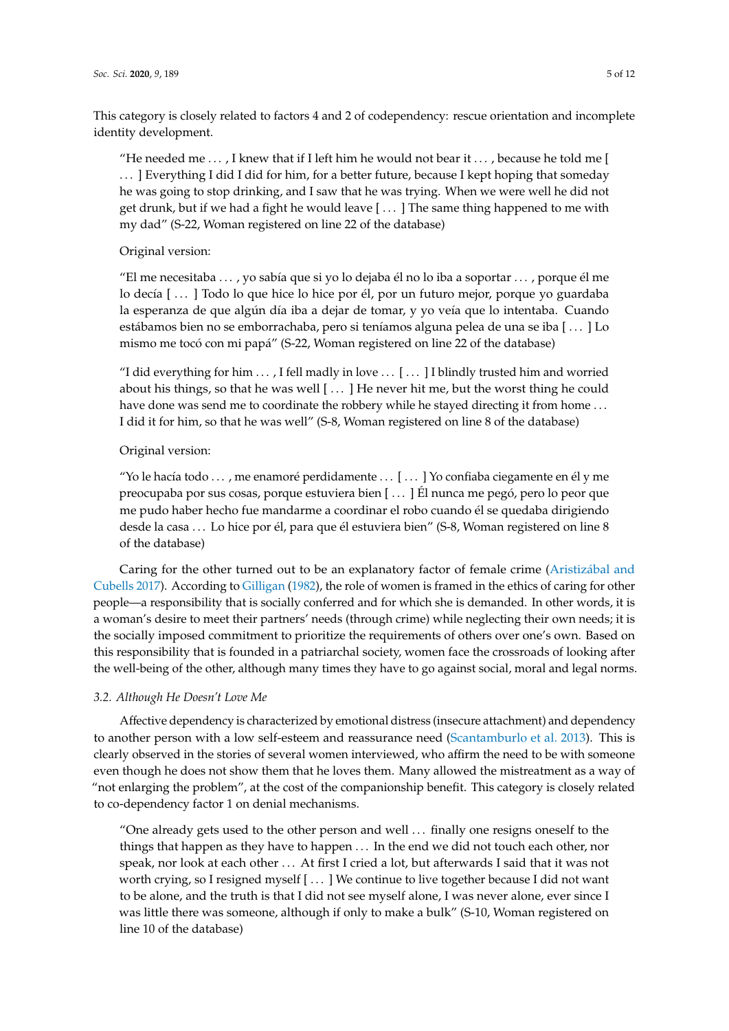This category is closely related to factors 4 and 2 of codependency: rescue orientation and incomplete identity development.

"He needed me  $\dots$ , I knew that if I left him he would not bear it  $\dots$ , because he told me [ . . . ] Everything I did I did for him, for a better future, because I kept hoping that someday he was going to stop drinking, and I saw that he was trying. When we were well he did not get drunk, but if we had a fight he would leave [ . . . ] The same thing happened to me with my dad" (S-22, Woman registered on line 22 of the database)

# Original version:

"El me necesitaba . . . , yo sabía que si yo lo dejaba él no lo iba a soportar . . . , porque él me lo decía [ . . . ] Todo lo que hice lo hice por él, por un futuro mejor, porque yo guardaba la esperanza de que algún día iba a dejar de tomar, y yo veía que lo intentaba. Cuando estábamos bien no se emborrachaba, pero si teníamos alguna pelea de una se iba [ . . . ] Lo mismo me tocó con mi papá" (S-22, Woman registered on line 22 of the database)

"I did everything for him  $\dots$ , I fell madly in love  $\dots$  [ $\dots$ ] I blindly trusted him and worried about his things, so that he was well [ . . . ] He never hit me, but the worst thing he could have done was send me to coordinate the robbery while he stayed directing it from home ... I did it for him, so that he was well" (S-8, Woman registered on line 8 of the database)

# Original version:

"Yo le hacía todo ..., me enamoré perdidamente ...  $[\dots]$  Yo confiaba ciegamente en él y me preocupaba por sus cosas, porque estuviera bien [ . . . ] Él nunca me pegó, pero lo peor que me pudo haber hecho fue mandarme a coordinar el robo cuando él se quedaba dirigiendo desde la casa . . . Lo hice por él, para que él estuviera bien" (S-8, Woman registered on line 8 of the database)

Caring for the other turned out to be an explanatory factor of female crime (Aristizá[bal and](#page-9-11) [Cubells](#page-9-11) [2017\)](#page-9-11). According to [Gilligan](#page-9-16) [\(1982\)](#page-9-16), the role of women is framed in the ethics of caring for other people—a responsibility that is socially conferred and for which she is demanded. In other words, it is a woman's desire to meet their partners' needs (through crime) while neglecting their own needs; it is the socially imposed commitment to prioritize the requirements of others over one's own. Based on this responsibility that is founded in a patriarchal society, women face the crossroads of looking after the well-being of the other, although many times they have to go against social, moral and legal norms.

## *3.2. Although He Doesn't Love Me*

Affective dependency is characterized by emotional distress (insecure attachment) and dependency to another person with a low self-esteem and reassurance need [\(Scantamburlo et al.](#page-10-15) [2013\)](#page-10-15). This is clearly observed in the stories of several women interviewed, who affirm the need to be with someone even though he does not show them that he loves them. Many allowed the mistreatment as a way of "not enlarging the problem", at the cost of the companionship benefit. This category is closely related to co-dependency factor 1 on denial mechanisms.

"One already gets used to the other person and well . . . finally one resigns oneself to the things that happen as they have to happen . . . In the end we did not touch each other, nor speak, nor look at each other . . . At first I cried a lot, but afterwards I said that it was not worth crying, so I resigned myself [ . . . ] We continue to live together because I did not want to be alone, and the truth is that I did not see myself alone, I was never alone, ever since I was little there was someone, although if only to make a bulk" (S-10, Woman registered on line 10 of the database)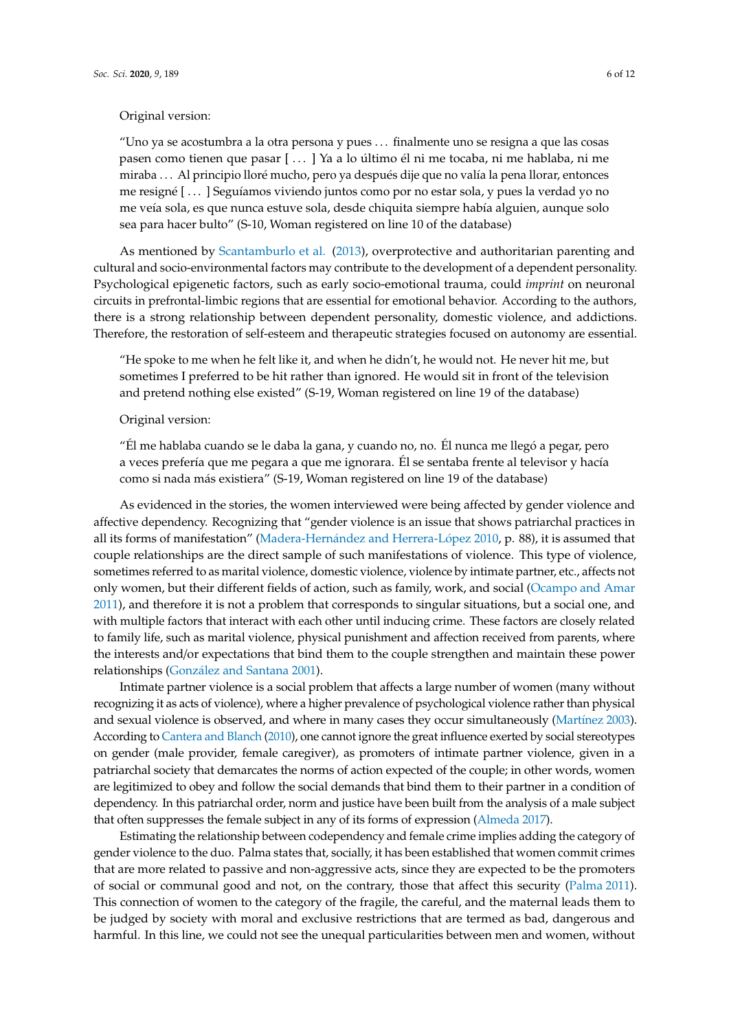#### Original version:

"Uno ya se acostumbra a la otra persona y pues . . . finalmente uno se resigna a que las cosas pasen como tienen que pasar [ . . . ] Ya a lo último él ni me tocaba, ni me hablaba, ni me miraba . . . Al principio lloré mucho, pero ya después dije que no valía la pena llorar, entonces me resigné [ . . . ] Seguíamos viviendo juntos como por no estar sola, y pues la verdad yo no me veía sola, es que nunca estuve sola, desde chiquita siempre había alguien, aunque solo sea para hacer bulto" (S-10, Woman registered on line 10 of the database)

As mentioned by [Scantamburlo et al.](#page-10-15) [\(2013\)](#page-10-15), overprotective and authoritarian parenting and cultural and socio-environmental factors may contribute to the development of a dependent personality. Psychological epigenetic factors, such as early socio-emotional trauma, could *imprint* on neuronal circuits in prefrontal-limbic regions that are essential for emotional behavior. According to the authors, there is a strong relationship between dependent personality, domestic violence, and addictions. Therefore, the restoration of self-esteem and therapeutic strategies focused on autonomy are essential.

"He spoke to me when he felt like it, and when he didn't, he would not. He never hit me, but sometimes I preferred to be hit rather than ignored. He would sit in front of the television and pretend nothing else existed" (S-19, Woman registered on line 19 of the database)

#### Original version:

"Él me hablaba cuando se le daba la gana, y cuando no, no. Él nunca me llegó a pegar, pero a veces prefería que me pegara a que me ignorara. Él se sentaba frente al televisor y hacía como si nada más existiera" (S-19, Woman registered on line 19 of the database)

As evidenced in the stories, the women interviewed were being affected by gender violence and affective dependency. Recognizing that "gender violence is an issue that shows patriarchal practices in all its forms of manifestation" (Madera-Herná[ndez and Herrera-L](#page-10-16)ópez [2010,](#page-10-16) p. 88), it is assumed that couple relationships are the direct sample of such manifestations of violence. This type of violence, sometimes referred to as marital violence, domestic violence, violence by intimate partner, etc., affects not only women, but their different fields of action, such as family, work, and social [\(Ocampo and Amar](#page-10-17) [2011\)](#page-10-17), and therefore it is not a problem that corresponds to singular situations, but a social one, and with multiple factors that interact with each other until inducing crime. These factors are closely related to family life, such as marital violence, physical punishment and affection received from parents, where the interests and/or expectations that bind them to the couple strengthen and maintain these power relationships (Gonzá[lez and Santana](#page-9-17) [2001\)](#page-9-17).

Intimate partner violence is a social problem that affects a large number of women (many without recognizing it as acts of violence), where a higher prevalence of psychological violence rather than physical and sexual violence is observed, and where in many cases they occur simultaneously [\(Mart](#page-10-18)ínez [2003\)](#page-10-18). According to [Cantera and Blanch](#page-9-18) [\(2010\)](#page-9-18), one cannot ignore the great influence exerted by social stereotypes on gender (male provider, female caregiver), as promoters of intimate partner violence, given in a patriarchal society that demarcates the norms of action expected of the couple; in other words, women are legitimized to obey and follow the social demands that bind them to their partner in a condition of dependency. In this patriarchal order, norm and justice have been built from the analysis of a male subject that often suppresses the female subject in any of its forms of expression [\(Almeda](#page-9-19) [2017\)](#page-9-19).

Estimating the relationship between codependency and female crime implies adding the category of gender violence to the duo. Palma states that, socially, it has been established that women commit crimes that are more related to passive and non-aggressive acts, since they are expected to be the promoters of social or communal good and not, on the contrary, those that affect this security [\(Palma](#page-10-1) [2011\)](#page-10-1). This connection of women to the category of the fragile, the careful, and the maternal leads them to be judged by society with moral and exclusive restrictions that are termed as bad, dangerous and harmful. In this line, we could not see the unequal particularities between men and women, without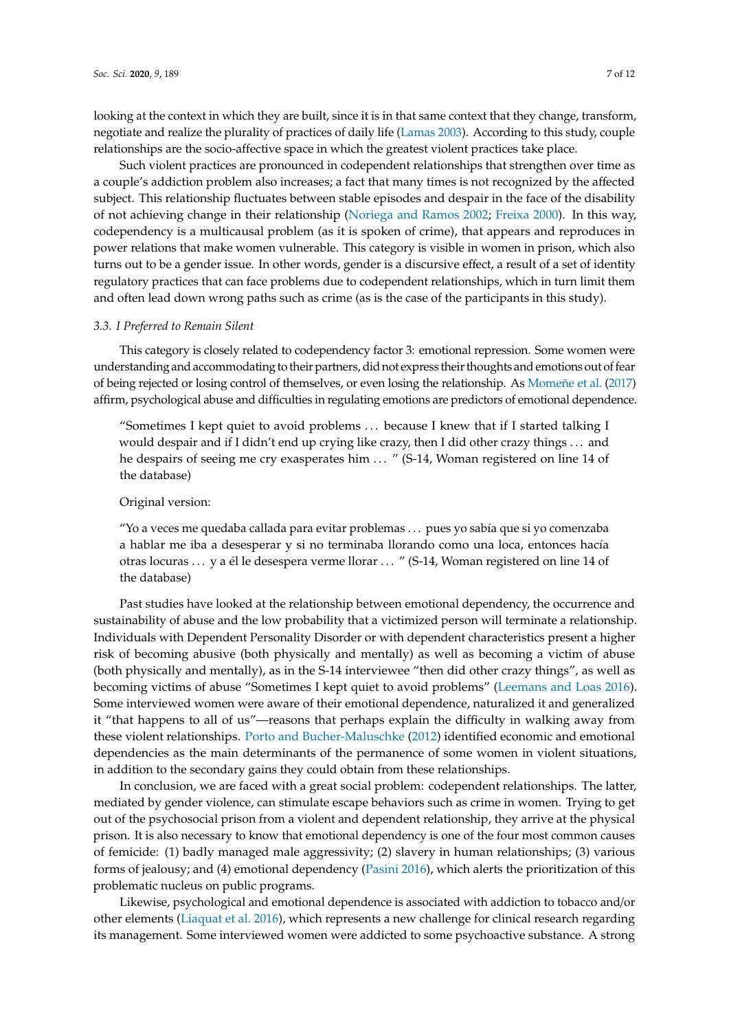looking at the context in which they are built, since it is in that same context that they change, transform, negotiate and realize the plurality of practices of daily life [\(Lamas](#page-10-19) [2003\)](#page-10-19). According to this study, couple relationships are the socio-affective space in which the greatest violent practices take place.

Such violent practices are pronounced in codependent relationships that strengthen over time as a couple's addiction problem also increases; a fact that many times is not recognized by the affected subject. This relationship fluctuates between stable episodes and despair in the face of the disability of not achieving change in their relationship [\(Noriega and Ramos](#page-10-8) [2002;](#page-10-8) [Freixa](#page-9-10) [2000\)](#page-9-10). In this way, codependency is a multicausal problem (as it is spoken of crime), that appears and reproduces in power relations that make women vulnerable. This category is visible in women in prison, which also turns out to be a gender issue. In other words, gender is a discursive effect, a result of a set of identity regulatory practices that can face problems due to codependent relationships, which in turn limit them and often lead down wrong paths such as crime (as is the case of the participants in this study).

#### *3.3. I Preferred to Remain Silent*

This category is closely related to codependency factor 3: emotional repression. Some women were understanding and accommodating to their partners, did not express their thoughts and emotions out of fear of being rejected or losing control of themselves, or even losing the relationship. As [Momeñe et al.](#page-10-7) [\(2017\)](#page-10-7) affirm, psychological abuse and difficulties in regulating emotions are predictors of emotional dependence.

"Sometimes I kept quiet to avoid problems . . . because I knew that if I started talking I would despair and if I didn't end up crying like crazy, then I did other crazy things . . . and he despairs of seeing me cry exasperates him ... " (S-14, Woman registered on line 14 of the database)

## Original version:

"Yo a veces me quedaba callada para evitar problemas . . . pues yo sabía que si yo comenzaba a hablar me iba a desesperar y si no terminaba llorando como una loca, entonces hacía otras locuras ... y a él le desespera verme llorar ... " (S-14, Woman registered on line 14 of the database)

Past studies have looked at the relationship between emotional dependency, the occurrence and sustainability of abuse and the low probability that a victimized person will terminate a relationship. Individuals with Dependent Personality Disorder or with dependent characteristics present a higher risk of becoming abusive (both physically and mentally) as well as becoming a victim of abuse (both physically and mentally), as in the S-14 interviewee "then did other crazy things", as well as becoming victims of abuse "Sometimes I kept quiet to avoid problems" [\(Leemans and Loas](#page-10-20) [2016\)](#page-10-20). Some interviewed women were aware of their emotional dependence, naturalized it and generalized it "that happens to all of us"—reasons that perhaps explain the difficulty in walking away from these violent relationships. [Porto and Bucher-Maluschke](#page-10-21) [\(2012\)](#page-10-21) identified economic and emotional dependencies as the main determinants of the permanence of some women in violent situations, in addition to the secondary gains they could obtain from these relationships.

In conclusion, we are faced with a great social problem: codependent relationships. The latter, mediated by gender violence, can stimulate escape behaviors such as crime in women. Trying to get out of the psychosocial prison from a violent and dependent relationship, they arrive at the physical prison. It is also necessary to know that emotional dependency is one of the four most common causes of femicide: (1) badly managed male aggressivity; (2) slavery in human relationships; (3) various forms of jealousy; and (4) emotional dependency [\(Pasini](#page-10-22) [2016\)](#page-10-22), which alerts the prioritization of this problematic nucleus on public programs.

Likewise, psychological and emotional dependence is associated with addiction to tobacco and/or other elements [\(Liaquat et al.](#page-10-23) [2016\)](#page-10-23), which represents a new challenge for clinical research regarding its management. Some interviewed women were addicted to some psychoactive substance. A strong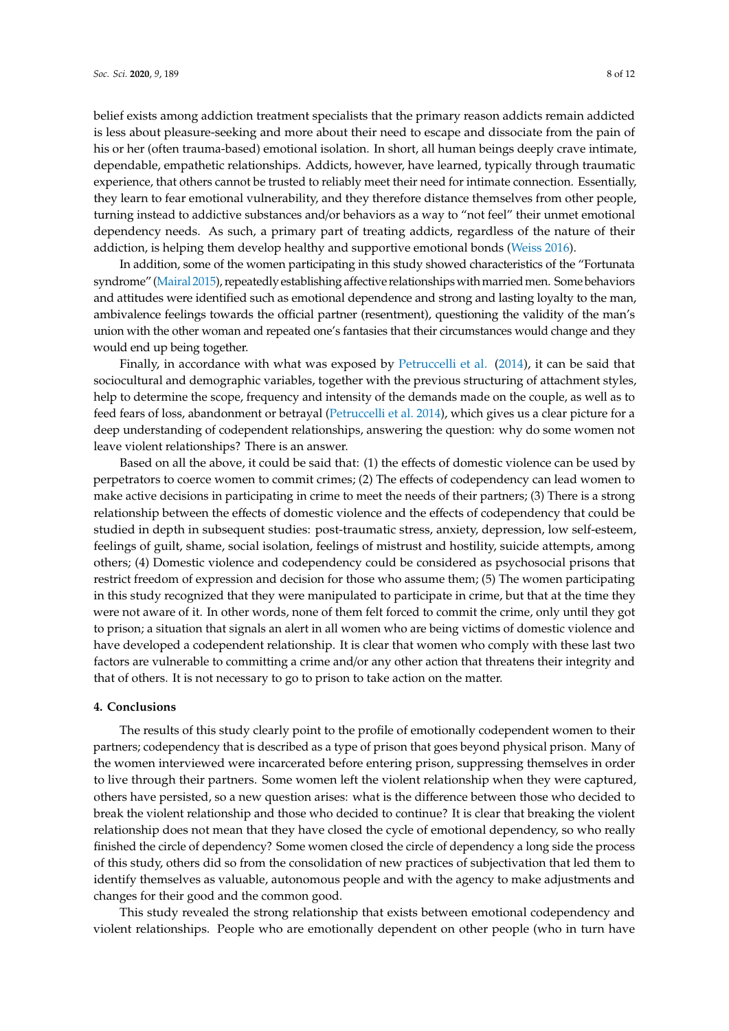belief exists among addiction treatment specialists that the primary reason addicts remain addicted is less about pleasure-seeking and more about their need to escape and dissociate from the pain of his or her (often trauma-based) emotional isolation. In short, all human beings deeply crave intimate, dependable, empathetic relationships. Addicts, however, have learned, typically through traumatic experience, that others cannot be trusted to reliably meet their need for intimate connection. Essentially, they learn to fear emotional vulnerability, and they therefore distance themselves from other people, turning instead to addictive substances and/or behaviors as a way to "not feel" their unmet emotional dependency needs. As such, a primary part of treating addicts, regardless of the nature of their addiction, is helping them develop healthy and supportive emotional bonds [\(Weiss](#page-10-24) [2016\)](#page-10-24).

In addition, some of the women participating in this study showed characteristics of the "Fortunata syndrome" [\(Mairal](#page-10-25) [2015\)](#page-10-25), repeatedly establishing affective relationships with married men. Some behaviors and attitudes were identified such as emotional dependence and strong and lasting loyalty to the man, ambivalence feelings towards the official partner (resentment), questioning the validity of the man's union with the other woman and repeated one's fantasies that their circumstances would change and they would end up being together.

Finally, in accordance with what was exposed by [Petruccelli et al.](#page-10-26) [\(2014\)](#page-10-26), it can be said that sociocultural and demographic variables, together with the previous structuring of attachment styles, help to determine the scope, frequency and intensity of the demands made on the couple, as well as to feed fears of loss, abandonment or betrayal [\(Petruccelli et al.](#page-10-26) [2014\)](#page-10-26), which gives us a clear picture for a deep understanding of codependent relationships, answering the question: why do some women not leave violent relationships? There is an answer.

Based on all the above, it could be said that: (1) the effects of domestic violence can be used by perpetrators to coerce women to commit crimes; (2) The effects of codependency can lead women to make active decisions in participating in crime to meet the needs of their partners; (3) There is a strong relationship between the effects of domestic violence and the effects of codependency that could be studied in depth in subsequent studies: post-traumatic stress, anxiety, depression, low self-esteem, feelings of guilt, shame, social isolation, feelings of mistrust and hostility, suicide attempts, among others; (4) Domestic violence and codependency could be considered as psychosocial prisons that restrict freedom of expression and decision for those who assume them; (5) The women participating in this study recognized that they were manipulated to participate in crime, but that at the time they were not aware of it. In other words, none of them felt forced to commit the crime, only until they got to prison; a situation that signals an alert in all women who are being victims of domestic violence and have developed a codependent relationship. It is clear that women who comply with these last two factors are vulnerable to committing a crime and/or any other action that threatens their integrity and that of others. It is not necessary to go to prison to take action on the matter.

#### **4. Conclusions**

The results of this study clearly point to the profile of emotionally codependent women to their partners; codependency that is described as a type of prison that goes beyond physical prison. Many of the women interviewed were incarcerated before entering prison, suppressing themselves in order to live through their partners. Some women left the violent relationship when they were captured, others have persisted, so a new question arises: what is the difference between those who decided to break the violent relationship and those who decided to continue? It is clear that breaking the violent relationship does not mean that they have closed the cycle of emotional dependency, so who really finished the circle of dependency? Some women closed the circle of dependency a long side the process of this study, others did so from the consolidation of new practices of subjectivation that led them to identify themselves as valuable, autonomous people and with the agency to make adjustments and changes for their good and the common good.

This study revealed the strong relationship that exists between emotional codependency and violent relationships. People who are emotionally dependent on other people (who in turn have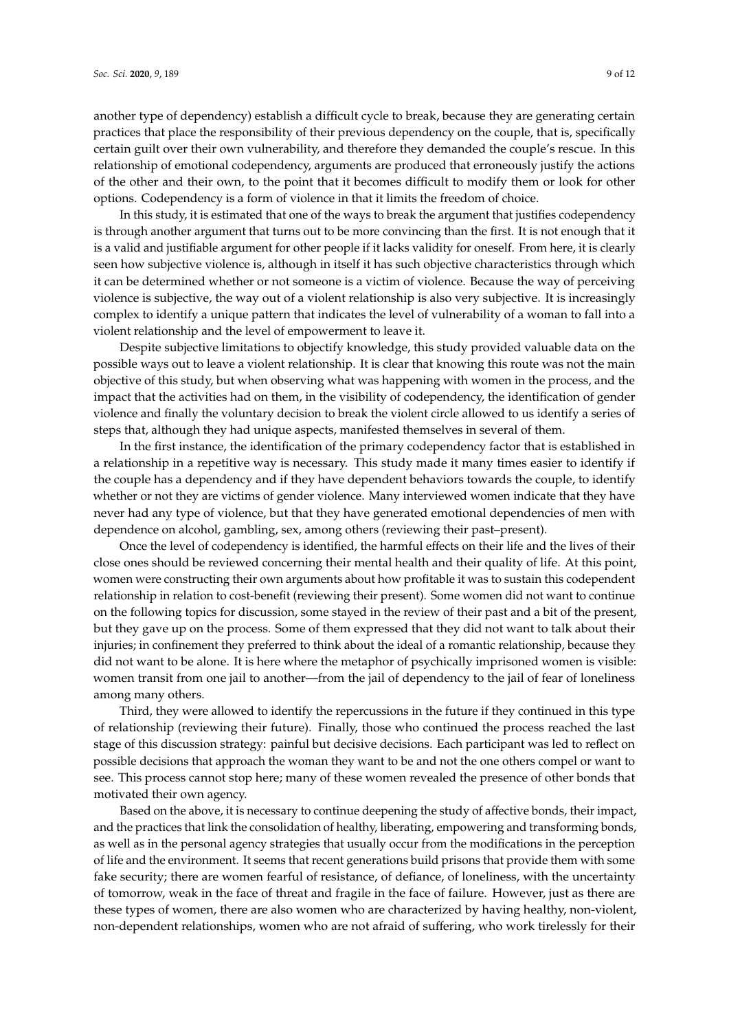another type of dependency) establish a difficult cycle to break, because they are generating certain practices that place the responsibility of their previous dependency on the couple, that is, specifically certain guilt over their own vulnerability, and therefore they demanded the couple's rescue. In this relationship of emotional codependency, arguments are produced that erroneously justify the actions of the other and their own, to the point that it becomes difficult to modify them or look for other options. Codependency is a form of violence in that it limits the freedom of choice.

In this study, it is estimated that one of the ways to break the argument that justifies codependency is through another argument that turns out to be more convincing than the first. It is not enough that it is a valid and justifiable argument for other people if it lacks validity for oneself. From here, it is clearly seen how subjective violence is, although in itself it has such objective characteristics through which it can be determined whether or not someone is a victim of violence. Because the way of perceiving violence is subjective, the way out of a violent relationship is also very subjective. It is increasingly complex to identify a unique pattern that indicates the level of vulnerability of a woman to fall into a violent relationship and the level of empowerment to leave it.

Despite subjective limitations to objectify knowledge, this study provided valuable data on the possible ways out to leave a violent relationship. It is clear that knowing this route was not the main objective of this study, but when observing what was happening with women in the process, and the impact that the activities had on them, in the visibility of codependency, the identification of gender violence and finally the voluntary decision to break the violent circle allowed to us identify a series of steps that, although they had unique aspects, manifested themselves in several of them.

In the first instance, the identification of the primary codependency factor that is established in a relationship in a repetitive way is necessary. This study made it many times easier to identify if the couple has a dependency and if they have dependent behaviors towards the couple, to identify whether or not they are victims of gender violence. Many interviewed women indicate that they have never had any type of violence, but that they have generated emotional dependencies of men with dependence on alcohol, gambling, sex, among others (reviewing their past–present).

Once the level of codependency is identified, the harmful effects on their life and the lives of their close ones should be reviewed concerning their mental health and their quality of life. At this point, women were constructing their own arguments about how profitable it was to sustain this codependent relationship in relation to cost-benefit (reviewing their present). Some women did not want to continue on the following topics for discussion, some stayed in the review of their past and a bit of the present, but they gave up on the process. Some of them expressed that they did not want to talk about their injuries; in confinement they preferred to think about the ideal of a romantic relationship, because they did not want to be alone. It is here where the metaphor of psychically imprisoned women is visible: women transit from one jail to another—from the jail of dependency to the jail of fear of loneliness among many others.

Third, they were allowed to identify the repercussions in the future if they continued in this type of relationship (reviewing their future). Finally, those who continued the process reached the last stage of this discussion strategy: painful but decisive decisions. Each participant was led to reflect on possible decisions that approach the woman they want to be and not the one others compel or want to see. This process cannot stop here; many of these women revealed the presence of other bonds that motivated their own agency.

Based on the above, it is necessary to continue deepening the study of affective bonds, their impact, and the practices that link the consolidation of healthy, liberating, empowering and transforming bonds, as well as in the personal agency strategies that usually occur from the modifications in the perception of life and the environment. It seems that recent generations build prisons that provide them with some fake security; there are women fearful of resistance, of defiance, of loneliness, with the uncertainty of tomorrow, weak in the face of threat and fragile in the face of failure. However, just as there are these types of women, there are also women who are characterized by having healthy, non-violent, non-dependent relationships, women who are not afraid of suffering, who work tirelessly for their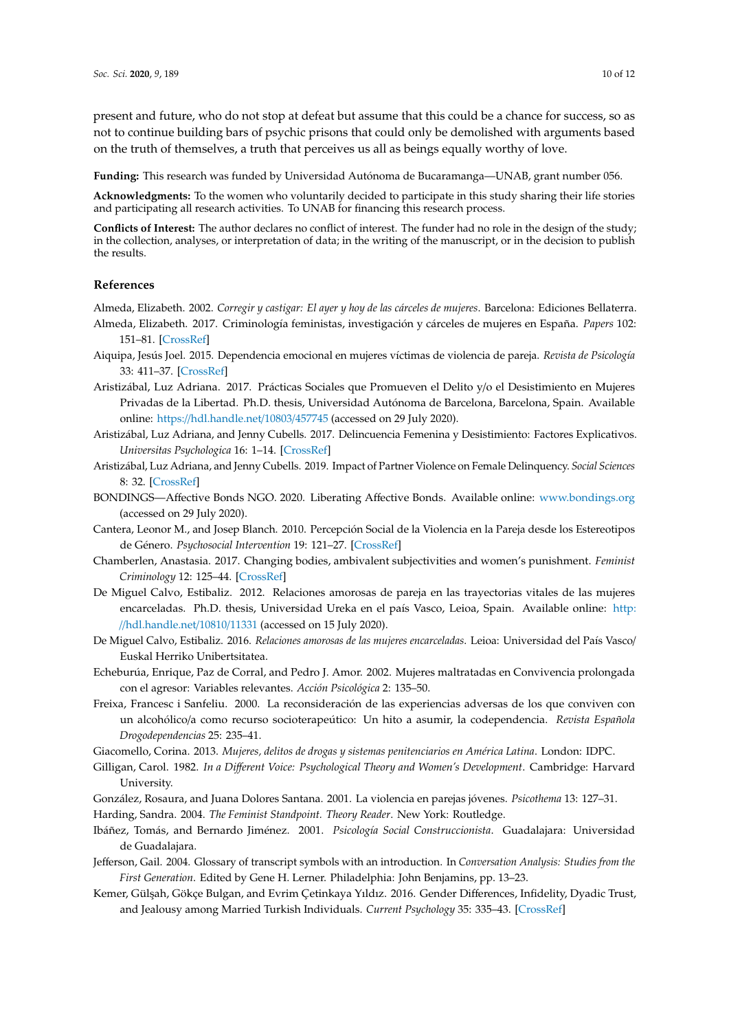present and future, who do not stop at defeat but assume that this could be a chance for success, so as not to continue building bars of psychic prisons that could only be demolished with arguments based on the truth of themselves, a truth that perceives us all as beings equally worthy of love.

**Funding:** This research was funded by Universidad Autónoma de Bucaramanga—UNAB, grant number 056.

**Acknowledgments:** To the women who voluntarily decided to participate in this study sharing their life stories and participating all research activities. To UNAB for financing this research process.

**Conflicts of Interest:** The author declares no conflict of interest. The funder had no role in the design of the study; in the collection, analyses, or interpretation of data; in the writing of the manuscript, or in the decision to publish the results.

## **References**

<span id="page-9-19"></span><span id="page-9-1"></span>Almeda, Elizabeth. 2002. *Corregir y castigar: El ayer y hoy de las cárceles de mujeres*. Barcelona: Ediciones Bellaterra. Almeda, Elizabeth. 2017. Criminología feministas, investigación y cárceles de mujeres en España. *Papers* 102:

- 151–81. [\[CrossRef\]](http://dx.doi.org/10.5565/rev/papers.2334)
- <span id="page-9-3"></span>Aiquipa, Jesús Joel. 2015. Dependencia emocional en mujeres víctimas de violencia de pareja. *Revista de Psicología* 33: 411–37. [\[CrossRef\]](http://dx.doi.org/10.18800/psico.201502.007)
- <span id="page-9-8"></span>Aristizábal, Luz Adriana. 2017. Prácticas Sociales que Promueven el Delito y/o el Desistimiento en Mujeres Privadas de la Libertad. Ph.D. thesis, Universidad Autónoma de Barcelona, Barcelona, Spain. Available online: https://[hdl.handle.net](https://hdl.handle.net/10803/457745)/10803/457745 (accessed on 29 July 2020).
- <span id="page-9-11"></span>Aristizábal, Luz Adriana, and Jenny Cubells. 2017. Delincuencia Femenina y Desistimiento: Factores Explicativos. *Universitas Psychologica* 16: 1–14. [\[CrossRef\]](http://dx.doi.org/10.11144/Javeriana.upsy16-4.dfdf)
- <span id="page-9-2"></span>Aristizábal, Luz Adriana, and Jenny Cubells. 2019. Impact of Partner Violence on Female Delinquency. *Social Sciences* 8: 32. [\[CrossRef\]](http://dx.doi.org/10.3390/socsci8020032)
- <span id="page-9-14"></span>BONDINGS—Affective Bonds NGO. 2020. Liberating Affective Bonds. Available online: <www.bondings.org> (accessed on 29 July 2020).
- <span id="page-9-18"></span>Cantera, Leonor M., and Josep Blanch. 2010. Percepción Social de la Violencia en la Pareja desde los Estereotipos de Género. *Psychosocial Intervention* 19: 121–27. [\[CrossRef\]](http://dx.doi.org/10.5093/in2010v19n2a3)
- <span id="page-9-7"></span>Chamberlen, Anastasia. 2017. Changing bodies, ambivalent subjectivities and women's punishment. *Feminist Criminology* 12: 125–44. [\[CrossRef\]](http://dx.doi.org/10.1177/1557085116689134)
- <span id="page-9-5"></span>De Miguel Calvo, Estibaliz. 2012. Relaciones amorosas de pareja en las trayectorias vitales de las mujeres encarceladas. Ph.D. thesis, Universidad Ureka en el país Vasco, Leioa, Spain. Available online: [http:](http://hdl.handle.net/10810/11331) //[hdl.handle.net](http://hdl.handle.net/10810/11331)/10810/11331 (accessed on 15 July 2020).
- <span id="page-9-6"></span>De Miguel Calvo, Estibaliz. 2016. *Relaciones amorosas de las mujeres encarceladas*. Leioa: Universidad del País Vasco/ Euskal Herriko Unibertsitatea.
- <span id="page-9-4"></span>Echeburúa, Enrique, Paz de Corral, and Pedro J. Amor. 2002. Mujeres maltratadas en Convivencia prolongada con el agresor: Variables relevantes. *Acción Psicológica* 2: 135–50.
- <span id="page-9-10"></span>Freixa, Francesc i Sanfeliu. 2000. La reconsideración de las experiencias adversas de los que conviven con un alcohólico/a como recurso socioterapeútico: Un hito a asumir, la codependencia. *Revista Española Drogodependencias* 25: 235–41.
- <span id="page-9-16"></span><span id="page-9-0"></span>Giacomello, Corina. 2013. *Mujeres, delitos de drogas y sistemas penitenciarios en América Latina*. London: IDPC.
- Gilligan, Carol. 1982. *In a Di*ff*erent Voice: Psychological Theory and Women's Development*. Cambridge: Harvard University.
- <span id="page-9-17"></span><span id="page-9-13"></span>González, Rosaura, and Juana Dolores Santana. 2001. La violencia en parejas jóvenes. *Psicothema* 13: 127–31.
- <span id="page-9-12"></span>Harding, Sandra. 2004. *The Feminist Standpoint. Theory Reader*. New York: Routledge.
- Ibáñez, Tomás, and Bernardo Jiménez. 2001. *Psicología Social Construccionista*. Guadalajara: Universidad de Guadalajara.
- <span id="page-9-15"></span>Jefferson, Gail. 2004. Glossary of transcript symbols with an introduction. In *Conversation Analysis: Studies from the First Generation*. Edited by Gene H. Lerner. Philadelphia: John Benjamins, pp. 13–23.
- <span id="page-9-9"></span>Kemer, Gül¸sah, Gökçe Bulgan, and Evrim Çetinkaya Yıldız. 2016. Gender Differences, Infidelity, Dyadic Trust, and Jealousy among Married Turkish Individuals. *Current Psychology* 35: 335–43. [\[CrossRef\]](http://dx.doi.org/10.1007/s12144-014-9298-2)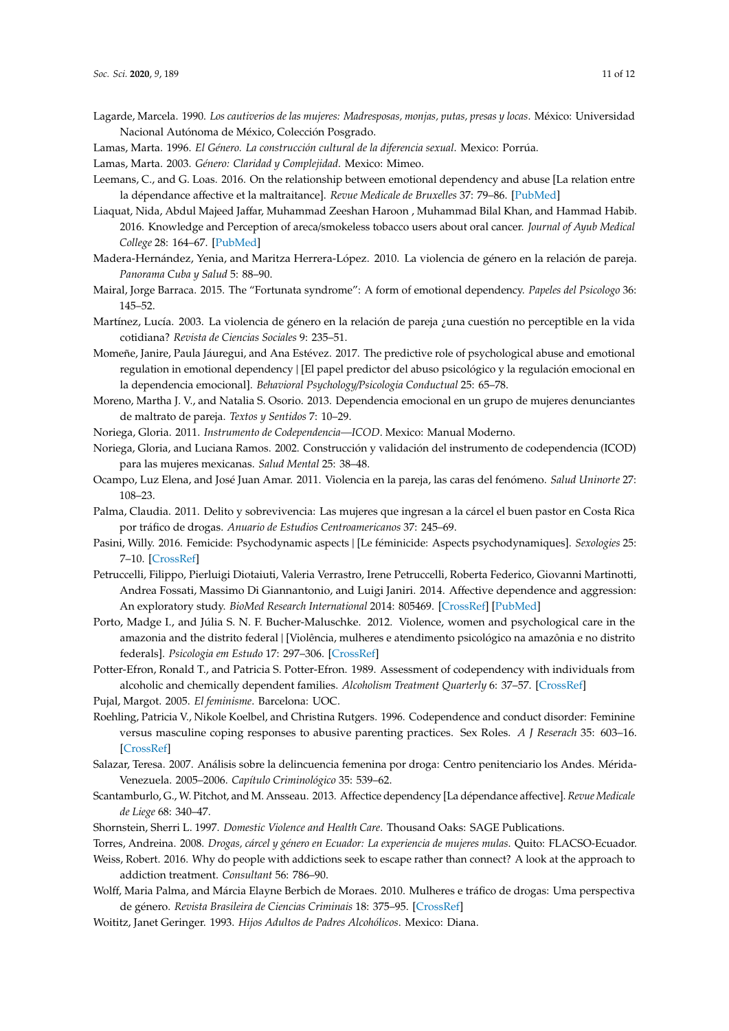- <span id="page-10-6"></span>Lagarde, Marcela. 1990. *Los cautiverios de las mujeres: Madresposas, monjas, putas, presas y locas*. México: Universidad Nacional Autónoma de México, Colección Posgrado.
- <span id="page-10-14"></span>Lamas, Marta. 1996. *El Género. La construcción cultural de la diferencia sexual*. Mexico: Porrúa.
- <span id="page-10-19"></span>Lamas, Marta. 2003. *Género: Claridad y Complejidad*. Mexico: Mimeo.
- <span id="page-10-20"></span>Leemans, C., and G. Loas. 2016. On the relationship between emotional dependency and abuse [La relation entre la dépendance affective et la maltraitance]. *Revue Medicale de Bruxelles* 37: 79–86. [\[PubMed\]](http://www.ncbi.nlm.nih.gov/pubmed/27487692)
- <span id="page-10-23"></span>Liaquat, Nida, Abdul Majeed Jaffar, Muhammad Zeeshan Haroon , Muhammad Bilal Khan, and Hammad Habib. 2016. Knowledge and Perception of areca/smokeless tobacco users about oral cancer. *Journal of Ayub Medical College* 28: 164–67. [\[PubMed\]](http://www.ncbi.nlm.nih.gov/pubmed/27323585)
- <span id="page-10-16"></span>Madera-Hernández, Yenia, and Maritza Herrera-López. 2010. La violencia de género en la relación de pareja. *Panorama Cuba y Salud* 5: 88–90.
- <span id="page-10-25"></span>Mairal, Jorge Barraca. 2015. The "Fortunata syndrome": A form of emotional dependency. *Papeles del Psicologo* 36: 145–52.
- <span id="page-10-18"></span>Martínez, Lucía. 2003. La violencia de género en la relación de pareja ¿una cuestión no perceptible en la vida cotidiana? *Revista de Ciencias Sociales* 9: 235–51.
- <span id="page-10-7"></span>Momeñe, Janire, Paula Jáuregui, and Ana Estévez. 2017. The predictive role of psychological abuse and emotional regulation in emotional dependency | [El papel predictor del abuso psicológico y la regulación emocional en la dependencia emocional]. *Behavioral Psychology*/*Psicologia Conductual* 25: 65–78.
- <span id="page-10-5"></span>Moreno, Martha J. V., and Natalia S. Osorio. 2013. Dependencia emocional en un grupo de mujeres denunciantes de maltrato de pareja. *Textos y Sentidos* 7: 10–29.
- <span id="page-10-12"></span>Noriega, Gloria. 2011. *Instrumento de Codependencia—ICOD*. Mexico: Manual Moderno.
- <span id="page-10-8"></span>Noriega, Gloria, and Luciana Ramos. 2002. Construcción y validación del instrumento de codependencia (ICOD) para las mujeres mexicanas. *Salud Mental* 25: 38–48.
- <span id="page-10-17"></span>Ocampo, Luz Elena, and José Juan Amar. 2011. Violencia en la pareja, las caras del fenómeno. *Salud Uninorte* 27: 108–23.
- <span id="page-10-1"></span>Palma, Claudia. 2011. Delito y sobrevivencia: Las mujeres que ingresan a la cárcel el buen pastor en Costa Rica por tráfico de drogas. *Anuario de Estudios Centroamericanos* 37: 245–69.
- <span id="page-10-22"></span>Pasini, Willy. 2016. Femicide: Psychodynamic aspects | [Le féminicide: Aspects psychodynamiques]. *Sexologies* 25: 7–10. [\[CrossRef\]](http://dx.doi.org/10.1016/j.sexol.2015.09.004)
- <span id="page-10-26"></span>Petruccelli, Filippo, Pierluigi Diotaiuti, Valeria Verrastro, Irene Petruccelli, Roberta Federico, Giovanni Martinotti, Andrea Fossati, Massimo Di Giannantonio, and Luigi Janiri. 2014. Affective dependence and aggression: An exploratory study. *BioMed Research International* 2014: 805469. [\[CrossRef\]](http://dx.doi.org/10.1155/2014/805469) [\[PubMed\]](http://www.ncbi.nlm.nih.gov/pubmed/25054147)
- <span id="page-10-21"></span>Porto, Madge I., and Júlia S. N. F. Bucher-Maluschke. 2012. Violence, women and psychological care in the amazonia and the distrito federal | [Violência, mulheres e atendimento psicológico na amazônia e no distrito federals]. *Psicologia em Estudo* 17: 297–306. [\[CrossRef\]](http://dx.doi.org/10.1590/S1413-73722012000200013)
- <span id="page-10-10"></span>Potter-Efron, Ronald T., and Patricia S. Potter-Efron. 1989. Assessment of codependency with individuals from alcoholic and chemically dependent families. *Alcoholism Treatment Quarterly* 6: 37–57. [\[CrossRef\]](http://dx.doi.org/10.1300/J020V06N01_04)
- <span id="page-10-13"></span>Pujal, Margot. 2005. *El feminisme*. Barcelona: UOC.
- <span id="page-10-11"></span>Roehling, Patricia V., Nikole Koelbel, and Christina Rutgers. 1996. Codependence and conduct disorder: Feminine versus masculine coping responses to abusive parenting practices. Sex Roles. *A J Reserach* 35: 603–16. [\[CrossRef\]](http://dx.doi.org/10.1007/BF01548255)
- <span id="page-10-2"></span>Salazar, Teresa. 2007. Análisis sobre la delincuencia femenina por droga: Centro penitenciario los Andes. Mérida-Venezuela. 2005–2006. *Capítulo Criminológico* 35: 539–62.
- <span id="page-10-15"></span>Scantamburlo, G., W. Pitchot, and M. Ansseau. 2013. Affectice dependency [La dépendance affective]. *Revue Medicale de Liege* 68: 340–47.
- <span id="page-10-4"></span><span id="page-10-3"></span>Shornstein, Sherri L. 1997. *Domestic Violence and Health Care*. Thousand Oaks: SAGE Publications.
- Torres, Andreina. 2008. *Drogas, cárcel y género en Ecuador: La experiencia de mujeres mulas*. Quito: FLACSO-Ecuador.
- <span id="page-10-24"></span>Weiss, Robert. 2016. Why do people with addictions seek to escape rather than connect? A look at the approach to addiction treatment. *Consultant* 56: 786–90.
- <span id="page-10-0"></span>Wolff, Maria Palma, and Márcia Elayne Berbich de Moraes. 2010. Mulheres e tráfico de drogas: Uma perspectiva de género. *Revista Brasileira de Ciencias Criminais* 18: 375–95. [\[CrossRef\]](http://dx.doi.org/10.1590/0104-026X2015v23n3p761)
- <span id="page-10-9"></span>Woititz, Janet Geringer. 1993. *Hijos Adultos de Padres Alcohólicos*. Mexico: Diana.